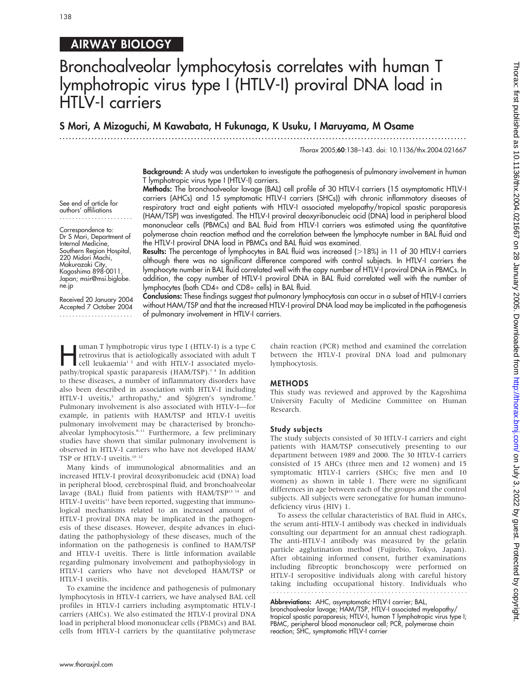## 138

## AIRWAY BIOLOGY

# Bronchoalveolar lymphocytosis correlates with human T lymphotropic virus type I (HTLV-I) proviral DNA load in HTLV-I carriers

### S Mori, A Mizoguchi, M Kawabata, H Fukunaga, K Usuku, I Maruyama, M Osame

...............................................................................................................................

Thorax 2005;60:138–143. doi: 10.1136/thx.2004.021667

Background: A study was undertaken to investigate the pathogenesis of pulmonary involvement in human T lymphotropic virus type I (HTLV-I) carriers.

See end of article for authors' affiliations

Correspondence to: Dr S Mori, Department of Internal Medicine, Southern Region Hospital, 220 Midori Machi, Makurazaki City, Kagoshima 898-0011, Japan; msir@msi.biglobe. ne.jp

Received 20 January 2004 Accepted 7 October 2004 .......................

Methods: The bronchoalveolar lavage (BAL) cell profile of 30 HTLV-I carriers (15 asymptomatic HTLV-I carriers (AHCs) and 15 symptomatic HTLV-I carriers (SHCs)) with chronic inflammatory diseases of respiratory tract and eight patients with HTLV-I associated myelopathy/tropical spastic paraparesis (HAM/TSP) was investigated. The HTLV-I proviral deoxyribonucleic acid (DNA) load in peripheral blood mononuclear cells (PBMCs) and BAL fluid from HTLV-I carriers was estimated using the quantitative polymerase chain reaction method and the correlation between the lymphocyte number in BAL fluid and the HTLV-I proviral DNA load in PBMCs and BAL fluid was examined.

Results: The percentage of lymphocytes in BAL fluid was increased (>18%) in 11 of 30 HTLV-I carriers although there was no significant difference compared with control subjects. In HTLV-I carriers the lymphocyte number in BAL fluid correlated well with the copy number of HTLV-I proviral DNA in PBMCs. In addition, the copy number of HTLV-I proviral DNA in BAL fluid correlated well with the number of lymphocytes (both CD4+ and CD8+ cells) in BAL fluid.

Conclusions: These findings suggest that pulmonary lymphocytosis can occur in a subset of HTLV-I carriers without HAM/TSP and that the increased HTLV-I proviral DNA load may be implicated in the pathogenesis of pulmonary involvement in HTLV-I carriers.

I uman T lymphotropic virus type I (HTLV-I) is a type C<br>retrovirus that is aetiologically associated with adult T<br>cell leukaemia<sup>12</sup> and with HTLV-I associated myelo-<br>pathw/tropical coastic parameters (HAM/TSP)<sup>34</sup> In addi retrovirus that is aetiologically associated with adult T pathy/tropical spastic paraparesis (HAM/TSP).<sup>34</sup> In addition to these diseases, a number of inflammatory disorders have also been described in association with HTLV-I including HTLV-I uveitis,<sup>5</sup> arthropathy,<sup>6</sup> and Sjögren's syndrome.<sup>7</sup> Pulmonary involvement is also associated with HTLV-I—for example, in patients with HAM/TSP and HTLV-I uveitis pulmonary involvement may be characterised by bronchoalveolar lymphocytosis.<sup>8-11</sup> Furthermore, a few preliminary studies have shown that similar pulmonary involvement is observed in HTLV-I carriers who have not developed HAM/ TSP or HTLV-I uveitis.<sup>10 12</sup>

Many kinds of immunological abnormalities and an increased HTLV-I proviral deoxyribonucleic acid (DNA) load in peripheral blood, cerebrospinal fluid, and bronchoalveolar lavage (BAL) fluid from patients with HAM/TSP<sup>13 14</sup> and HTLV-I uveitis<sup>11</sup> have been reported, suggesting that immunological mechanisms related to an increased amount of HTLV-I proviral DNA may be implicated in the pathogenesis of these diseases. However, despite advances in elucidating the pathophysiology of these diseases, much of the information on the pathogenesis is confined to HAM/TSP and HTLV-I uveitis. There is little information available regarding pulmonary involvement and pathophysiology in HTLV-I carriers who have not developed HAM/TSP or HTLV-I uveitis.

To examine the incidence and pathogenesis of pulmonary lymphocytosis in HTLV-I carriers, we have analysed BAL cell profiles in HTLV-I carriers including asymptomatic HTLV-I carriers (AHCs). We also estimated the HTLV-I proviral DNA load in peripheral blood mononuclear cells (PBMCs) and BAL cells from HTLV-I carriers by the quantitative polymerase chain reaction (PCR) method and examined the correlation between the HTLV-I proviral DNA load and pulmonary lymphocytosis.

#### METHODS

This study was reviewed and approved by the Kagoshima University Faculty of Medicine Committee on Human Research.

#### Study subjects

The study subjects consisted of 30 HTLV-I carriers and eight patients with HAM/TSP consecutively presenting to our department between 1989 and 2000. The 30 HTLV-I carriers consisted of 15 AHCs (three men and 12 women) and 15 symptomatic HTLV-I carriers (SHCs; five men and 10 women) as shown in table 1. There were no significant differences in age between each of the groups and the control subjects. All subjects were seronegative for human immunodeficiency virus (HIV) 1.

To assess the cellular characteristics of BAL fluid in AHCs, the serum anti-HTLV-I antibody was checked in individuals consulting our department for an annual chest radiograph. The anti-HTLV-I antibody was measured by the gelatin particle agglutination method (Fujirebio, Tokyo, Japan). After obtaining informed consent, further examinations including fibreoptic bronchoscopy were performed on HTLV-I seropositive individuals along with careful history taking including occupational history. Individuals who 

Abbreviations: AHC, asymptomatic HTLV-I carrier; BAL, bronchoalveolar lavage; HAM/TSP, HTLV-I associated myelopathy/ tropical spastic paraparesis; HTLV-I, human T lymphotropic virus type I; PBMC, peripheral blood mononuclear cell; PCR, polymerase chain reaction; SHC, symptomatic HTLV-I carrier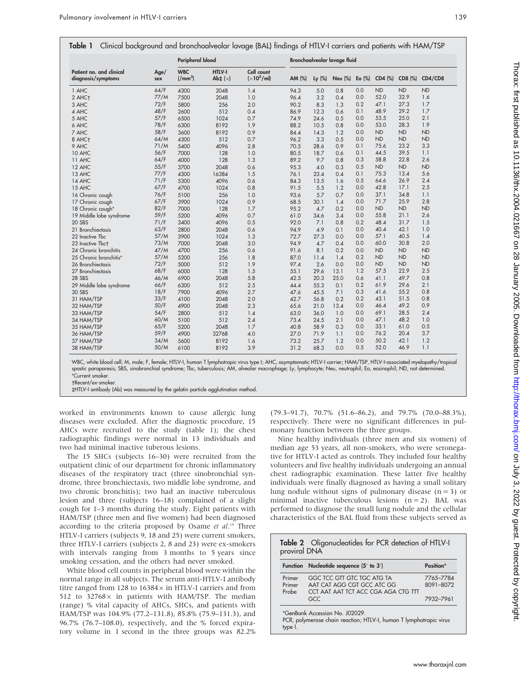|                                                |             | Peripheral blood                              |                                 |                                              | Bronchoalveolar lavage fluid |           |                |           |           |           |           |
|------------------------------------------------|-------------|-----------------------------------------------|---------------------------------|----------------------------------------------|------------------------------|-----------|----------------|-----------|-----------|-----------|-----------|
| Patient no. and clinical<br>diagnosis/symptoms | Age/<br>sex | <b>WBC</b><br>$\frac{1}{2}$ mm <sup>3</sup> ) | HTLV-I<br>Ab $\pm$ ( $\times$ ) | Cell count<br>$\left(x10^5\text{/ml}\right)$ | AM (%)                       | Ly $(\%)$ | <b>Neu (%)</b> | Eo $(\%)$ | CD4 (%)   | CD8 (%)   | CD4/CD8   |
| 1 AHC                                          | 64/F        | 4300                                          | 2048                            | 1.4                                          | 94.3                         | 5.0       | 0.8            | 0.0       | ND        | <b>ND</b> | ND        |
| 2 AHC+                                         | 77/M        | 7500                                          | 2048                            | 1.0                                          | 96.4                         | 3.2       | 0.4            | 0.0       | 52.0      | 32.9      | 1.6       |
| 3 AHC                                          | 72/F        | 5800                                          | 256                             | 2.0                                          | 90.2                         | 8.3       | 1.3            | 0.2       | 47.1      | 27.3      | 1.7       |
| 4 AHC                                          | 48/F        | 2600                                          | 512                             | 0.4                                          | 86.9                         | 12.3      | 0.6            | 0.1       | 48.9      | 29.2      | 1.7       |
| 5 AHC                                          | 57/F        | 6500                                          | 1024                            | 0.7                                          | 74.9                         | 24.6      | 0.5            | 0.0       | 53.5      | 25.0      | 2.1       |
| 6 AHC                                          | 78/F        | 6300                                          | 8192                            | 1.9                                          | 88.2                         | 10.5      | 0.8            | 0.0       | 53.0      | 28.3      | 1.9       |
| 7 AHC                                          | 58/F        | 3600                                          | 8192                            | 0.9                                          | 84.4                         | 14.3      | 1.2            | 0.0       | ND        | <b>ND</b> | <b>ND</b> |
| 8 AHC+                                         | 64/M        | 4300                                          | 512                             | 0.7                                          | 96.2                         | 3.3       | 0.5            | 0.0       | ND        | <b>ND</b> | <b>ND</b> |
| 9 AHC                                          | 71/M        | 5400                                          | 4096                            | 2.8                                          | 70.5                         | 28.6      | 0.9            | 0.1       | 75.6      | 23.2      | 3.3       |
| 10 AHC                                         | 56/F        | 7000                                          | 128                             | 1.0                                          | 80.5                         | 18.7      | 0.6            | 0.1       | 44.5      | 39.5      | 1.1       |
| 11 AHC                                         | 64/F        | 4000                                          | 128                             | 1.3                                          | 89.2                         | 9.7       | 0.8            | 0.3       | 58.8      | 22.8      | 2.6       |
| 12 AHC                                         | 55/F        | 3700                                          | 2048                            | 0.6                                          | 95.3                         | 4.0       | 0.3            | 0.5       | ND        | ND        | <b>ND</b> |
| 13 AHC                                         | 77/F        | 4300                                          | 16384                           | 1.5                                          | 76.1                         | 23.4      | 0.4            | 0.1       | 75.3      | 13.4      | 5.6       |
| 14 AHC                                         | 71/F        | 5300                                          | 4096                            | 0.6                                          | 84.3                         | 13.5      | 1.6            | 0.5       | 64.6      | 26.9      | 2.4       |
| 15 AHC                                         | 67/F        | 4700                                          | 1024                            | 0.8                                          | 91.5                         | 5.5       | 1.2            | 0.0       | 42.8      | 17.1      | 2.5       |
|                                                | 76/F        |                                               | 256                             | 1.0                                          | 93.6                         | 5.7       | 0.7            | 0.0       | 37.1      | 34.8      | 1.1       |
| 16 Chronic cough                               | 67/F        | 5100                                          |                                 |                                              |                              |           |                |           | 71.7      | 25.9      | 2.8       |
| 17 Chronic cough                               |             | 3900                                          | 1024                            | 0.9                                          | 68.5                         | 30.1      | 1.4            | 0.0       |           |           |           |
| 18 Chronic cough*                              | 82/F        | 7000                                          | 128                             | 1.7                                          | 95.2                         | 4.7       | 0.2            | 0.0       | <b>ND</b> | ND        | <b>ND</b> |
| 19 Middle lobe syndrome                        | 59/F        | 5200                                          | 4096                            | 0.7                                          | 61.0                         | 34.6      | 3.4            | 0.0       | 55.8      | 21.1      | 2.6       |
| 20 SBS                                         | 71/F        | 3400                                          | 4096                            | 0.5                                          | 92.0                         | 7.1       | 0.8            | 0.2       | 48.4      | 31.7      | 1.5       |
| 21 Bronchiectasis                              | 63/F        | 2800                                          | 2048                            | 0.6                                          | 94.9                         | 4.9       | 0.1            | 0.0       | 40.4      | 42.1      | 1.0       |
| 22 Inactive Tbc                                | 57/M        | 3900                                          | 1024                            | 1.3                                          | 72.7                         | 27.3      | 0.0            | 0.0       | 57.1      | 40.5      | 1.4       |
| 23 Inactive Tbct                               | 73/M        | 7000                                          | 2048                            | 3.0                                          | 94.9                         | 4.7       | 0.4            | 0.0       | 60.0      | 30.8      | 2.0       |
| 24 Chronic bronchitis                          | 47/M        | 4700                                          | 256                             | 0.6                                          | 91.6                         | 8.1       | 0.2            | 0.0       | ND        | ND        | <b>ND</b> |
| 25 Chronic bronchitis*                         | 57/M        | 5200                                          | 256                             | 1.8                                          | 87.0                         | 11.4      | 1.4            | 0.2       | <b>ND</b> | <b>ND</b> | <b>ND</b> |
| 26 Bronchiectasis                              | 72/F        | 5000                                          | 512                             | 1.9                                          | 97.4                         | 2.6       | 0.0            | 0.0       | ND        | <b>ND</b> | <b>ND</b> |
| 27 Bronchiectasis                              | 68/F        | 6000                                          | 128                             | 1.5                                          | 55.1                         | 29.6      | 13.1           | 1.2       | 57.5      | 22.9      | 2.5       |
| 28 SBS                                         | 46/M        | 6900                                          | 2048                            | 5.8                                          | 42.5                         | 20.3      | 25.0           | 0.6       | 41.1      | 49.7      | 0.8       |
| 29 Middle lobe syndrome                        | 66/F        | 6300                                          | 512                             | 2.5                                          | 44.4                         | 55.3      | 0.1            | 0.2       | 61.9      | 29.6      | 2.1       |
| 30 SBS                                         | 18/F        | 7900                                          | 4096                            | 2.7                                          | 47.6                         | 45.5      | 7.1            | 0.3       | 41.6      | 55.2      | 0.8       |
| 31 HAM/TSP                                     | 33/F        | 4100                                          | 2048                            | 2.0                                          | 42.7                         | 56.8      | 0.2            | 0.2       | 43.1      | 51.5      | 0.8       |
| 32 HAM/TSP                                     | 50/F        | 4900                                          | 2048                            | 2.3                                          | 65.6                         | 21.0      | 13.4           | 0.0       | 46.4      | 49.2      | 0.9       |
| 33 HAM/TSP                                     | 54/F        | 2800                                          | 512                             | 1.4                                          | 63.0                         | 36.0      | 1.0            | 0.0       | 69.1      | 28.5      | 2.4       |
| 34 HAM/TSP                                     | 60/M        | 5100                                          | 512                             | 2.4                                          | 73.4                         | 24.5      | 2.1            | 0.0       | 47.1      | 48.2      | 1.0       |
| 35 HAM/TSP                                     | 65/F        | 5200                                          | 2048                            | 1.7                                          | 40.8                         | 58.9      | 0.3            | 0.0       | 33.1      | 61.0      | 0.5       |
| 36 HAM/TSP                                     | 59/F        | 4900                                          | 32768                           | 4.0                                          | 27.0                         | 71.9      | 1.1            | 0.0       | 76.2      | 20.4      | 3.7       |
| 37 HAM/TSP                                     | 34/M        | 5600                                          | 8192                            | 1.6                                          | 73.2                         | 25.7      | 1.2            | 0.0       | 50.2      | 42.1      | 1.2       |
| 38 HAM/TSP                                     | 50/M        | 6100                                          | 8192                            | 3.9                                          | 31.2                         | 68.3      | 0.0            | 0.5       | 52.0      | 46.9      | 1.1       |

WBC, white blood cell; M, male; F, female; HTLV-I, human T lymphotropic virus type I; AHC, asymptomatic HTLV-I carrier; HAM/TSP, HTLV-I-associated myelopathy/tropical spastic paraparesis; SBS, sinobronchial syndrome; Tbc, tuberculosis; AM, alveolar macrophage; Ly, lymphocyte; Neu, neutrophil; Eo, eosinophil; ND, not determined. \*Current smoker.

Recent/ex-smoker.

`HTLV-I antibody (Ab) was measured by the gelatin particle agglutination method.

worked in environments known to cause allergic lung diseases were excluded. After the diagnostic procedure, 15 AHCs were recruited to the study (table 1); the chest radiographic findings were normal in 13 individuals and two had minimal inactive tuberous lesions.

The 15 SHCs (subjects 16–30) were recruited from the outpatient clinic of our department for chronic inflammatory diseases of the respiratory tract (three sinobronchial syndrome, three bronchiectasis, two middle lobe syndrome, and two chronic bronchitis); two had an inactive tuberculous lesion and three (subjects 16–18) complained of a slight cough for 1–3 months during the study. Eight patients with HAM/TSP (three men and five women) had been diagnosed according to the criteria proposed by Osame et al.<sup>15</sup> Three HTLV-I carriers (subjects 9, 18 and 25) were current smokers, three HTLV-I carriers (subjects 2, 8 and 23) were ex-smokers with intervals ranging from 3 months to 5 years since smoking cessation, and the others had never smoked.

White blood cell counts in peripheral blood were within the normal range in all subjects. The serum anti-HTLV-I antibody titre ranged from  $128$  to  $16384 \times$  in HTLV-I carriers and from 512 to 32768 $\times$  in patients with HAM/TSP. The median (range) % vital capacity of AHCs, SHCs, and patients with HAM/TSP was 104.9% (77.2–131.8), 85.8% (75.9–131.3), and 96.7% (76.7–108.0), respectively, and the % forced expiratory volume in 1 second in the three groups was 82.2% (79.3–91.7), 70.7% (51.6–86.2), and 79.7% (70.0–88.3%), respectively. There were no significant differences in pulmonary function between the three groups.

Nine healthy individuals (three men and six women) of median age 53 years, all non-smokers, who were seronegative for HTLV-I acted as controls. They included four healthy volunteers and five healthy individuals undergoing an annual chest radiographic examination. These latter five healthy individuals were finally diagnosed as having a small solitary lung nodule without signs of pulmonary disease  $(n = 3)$  or minimal inactive tuberculous lesions  $(n = 2)$ . BAL was performed to diagnose the small lung nodule and the cellular characteristics of the BAL fluid from these subjects served as

| <b>Function</b> | Nucleotide sequence (5' to 3')                                    | Position* |
|-----------------|-------------------------------------------------------------------|-----------|
| Primer          | GGC TCC GTT GTC TGC ATG TA                                        | 7765-7784 |
| Primer<br>Probe | AAT CAT AGG CGT GCC ATC GG<br>CCT AAT AAT TCT ACC CGA AGA CTG TTT | 8091-8072 |
|                 | GCC                                                               | 7932-7961 |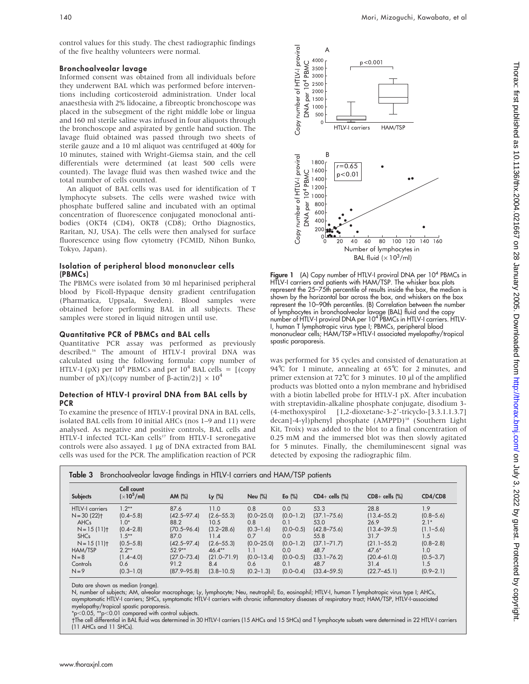control values for this study. The chest radiographic findings of the five healthy volunteers were normal.

#### Bronchoalveolar lavage

Informed consent was obtained from all individuals before they underwent BAL which was performed before interventions including corticosteroid administration. Under local anaesthesia with 2% lidocaine, a fibreoptic bronchoscope was placed in the subsegment of the right middle lobe or lingua and 160 ml sterile saline was infused in four aliquots through the bronchoscope and aspirated by gentle hand suction. The lavage fluid obtained was passed through two sheets of sterile gauze and a 10 ml aliquot was centrifuged at 400g for 10 minutes, stained with Wright-Giemsa stain, and the cell differentials were determined (at least 500 cells were counted). The lavage fluid was then washed twice and the total number of cells counted.

An aliquot of BAL cells was used for identification of T lymphocyte subsets. The cells were washed twice with phosphate buffered saline and incubated with an optimal concentration of fluorescence conjugated monoclonal antibodies (OKT4 (CD4), OKT8 (CD8); Ortho Diagnostics, Raritan, NJ, USA). The cells were then analysed for surface fluorescence using flow cytometry (FCMID, Nihon Bunko, Tokyo, Japan).

#### Isolation of peripheral blood mononuclear cells (PBMCs)

The PBMCs were isolated from 30 ml heparinised peripheral blood by Ficoll-Hypaque density gradient centrifugation (Pharmatica, Uppsala, Sweden). Blood samples were obtained before performing BAL in all subjects. These samples were stored in liquid nitrogen until use.

#### Quantitative PCR of PBMCs and BAL cells

Quantitative PCR assay was performed as previously described.16 The amount of HTLV-I proviral DNA was calculated using the following formula: copy number of HTLV-I (pX) per  $10^4$  PBMCs and per  $10^4$  BAL cells =  $\left[$  (copy) number of pX)/(copy number of  $\beta$ -actin/2)]  $\times 10^4$ 

#### Detection of HTLV-I proviral DNA from BAL cells by **PCR**

To examine the presence of HTLV-I proviral DNA in BAL cells, isolated BAL cells from 10 initial AHCs (nos 1–9 and 11) were analysed. As negative and positive controls, BAL cells and HTLV-I infected TCL-Kan cells<sup>17</sup> from HTLV-I seronegative controls were also assayed. 1 µg of DNA extracted from BAL cells was used for the PCR. The amplification reaction of PCR





 $\circ$ 500

DNA per 10<sup>4</sup> PBMC

 $\widetilde{\geq}$ 

PBMC

Figure 1 (A) Copy number of HTLV-I proviral DNA per 10<sup>4</sup> PBMCs in HTLV-I carriers and patients with HAM/TSP. The whisker box plots represent the 25–75th percentile of results inside the box, the median is shown by the horizontal bar across the box, and whiskers on the box represent the 10–90th percentiles. (B) Correlation between the number of lymphocytes in bronchoalveolar lavage (BAL) fluid and the copy number of HTLV-I proviral DNA per 10<sup>4</sup> PBMCs in HTLV-I carriers. HTLV-I, human T lymphotropic virus type I; PBMCs, peripheral blood mononuclear cells; HAM/TSP = HTLV-I associated myelopathy/tropical spastic paraparesis.

was performed for 35 cycles and consisted of denaturation at 94℃ for 1 minute, annealing at 65℃ for 2 minutes, and primer extension at  $72^{\circ}$ C for 3 minutes. 10 µl of the amplified products was blotted onto a nylon membrane and hybridised with a biotin labelled probe for HTLV-I pX. After incubation with streptavidin-alkaline phosphate conjugate, disodium 3-  $(4-methoxyspirol [1,2-dioxetane-3-2'-tricyclo-[3.3.1.1.3.7])$ decan]-4-yl)phenyl phosphate (AMPPD)<sup>18</sup> (Southern Light Kit, Troix) was added to the blot to a final concentration of 0.25 mM and the immersed blot was then slowly agitated for 5 minutes. Finally, the chemiluminescent signal was detected by exposing the radiographic film.

| <b>Subjects</b>        | Cell count<br>$\left(\times 10^5/\mathrm{ml}\right)$ | AM (%)          | Ly $(\%)$       | <b>Neu</b> (%) | Eo $(\%)$     | $CD4+$ cells $(\%)$ | $CDB +$ cells $(\%)$ | CD4/CD8       |
|------------------------|------------------------------------------------------|-----------------|-----------------|----------------|---------------|---------------------|----------------------|---------------|
| <b>HTLV-I</b> carriers | $1.2**$                                              | 87.6            | 11.0            | 0.8            | 0.0           | 53.3                | 28.8                 | 1.9           |
| $N = 30 (22)$          | $(0.4 - 5.8)$                                        | $(42.5 - 97.4)$ | $(2.6 - 55.3)$  | $(0.0 - 25.0)$ | $(0.0 - 1.2)$ | $(37.1 - 75.6)$     | $(13.4 - 55.2)$      | $(0.8 - 5.6)$ |
| AHCs                   | $1.0*$                                               | 88.2            | 10.5            | 0.8            | 0.1           | 53.0                | 26.9                 | $2.1*$        |
| $N = 15(11)$           | $(0.4 - 2.8)$                                        | $(70.5 - 96.4)$ | $(3.2 - 28.6)$  | $(0.3 - 1.6)$  | $(0.0 - 0.5)$ | $(42.8 - 75.6)$     | $(13.4 - 39.5)$      | $(1.1 - 5.6)$ |
| <b>SHCs</b>            | $1.5***$                                             | 87.0            | 11.4            | 0.7            | 0.0           | 55.8                | 31.7                 | 1.5           |
| $N = 15(11)$           | $(0.5 - 5.8)$                                        | $(42.5 - 97.4)$ | $(2.6 - 55.3)$  | $(0.0 - 25.0)$ | $(0.0 - 1.2)$ | $(37.1 - 71.7)$     | $(21.1 - 55.2)$      | $(0.8 - 2.8)$ |
| HAM/TSP                | $2.2**$                                              | $52.9**$        | $46.4**$        | 1.1            | 0.0           | 48.7                | $47.6*$              | 1.0           |
| $N = 8$                | $(1.4 - 4.0)$                                        | $(27.0 - 73.4)$ | $(21.0 - 71.9)$ | $(0.0 - 13.4)$ | $(0.0 - 0.5)$ | $(33.1 - 76.2)$     | $(20.4 - 61.0)$      | $(0.5 - 3.7)$ |
| Controls               | 0.6                                                  | 91.2            | 8.4             | 0.6            | 0.1           | 48.7                | 31.4                 | 1.5           |
| $N=9$                  | $(0.3 - 1.0)$                                        | $(87.9 - 95.8)$ | $(3.8 - 10.5)$  | $(0.2 - 1.3)$  | $(0.0 - 0.4)$ | $(33.4 - 59.5)$     | $(22.7 - 45.1)$      | $(0.9 - 2.1)$ |

Data are shown as median (range).

N, number of subjects; AM, alveolar macrophage; Ly, lymphocyte; Neu, neutrophil; Eo, eosinophil; HTLV-I, human T lymphotropic virus type I; AHCs, asymptomatic HTLV-I carriers; SHCs, symptomatic HTLV-I carriers with chronic inflammatory diseases of respiratory tract; HAM/TSP, HTLV-I-associated myelopathy/tropical spastic paraparesis.

 $*p$ <0.05,  $*p$ <0.01 compared with control subjects.

The cell differential in BAL fluid was determined in 30 HTLV-I carriers (15 AHCs and 15 SHCs) and T lymphocyte subsets were determined in 22 HTLV-I carriers (11 AHCs and 11 SHCs).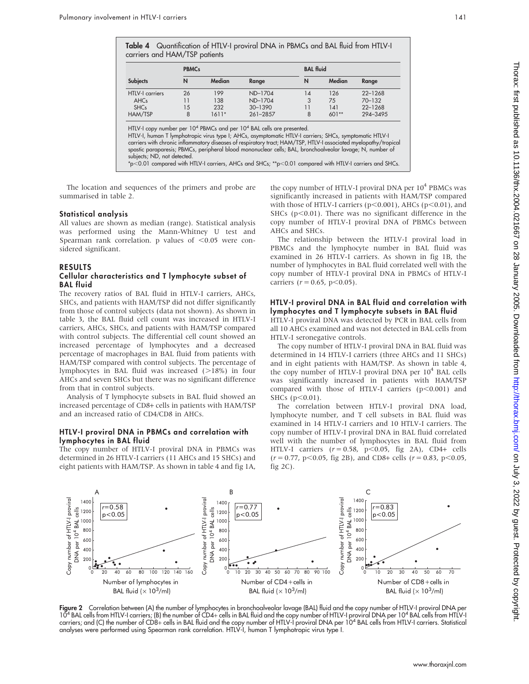Table 4 Quantification of HTLV-I proviral DNA in PBMCs and BAL fluid from HTLV-I carriers and HAM/TSP patients

|                        | <b>PBMCs</b> |         |             | <b>BAL</b> fluid |         |             |  |  |
|------------------------|--------------|---------|-------------|------------------|---------|-------------|--|--|
| <b>Subjects</b>        | N            | Median  | Range       | N                | Median  | Range       |  |  |
| <b>HTLV-I carriers</b> | 26           | 199     | ND-1704     | 14               | 126     | $22 - 1268$ |  |  |
| <b>AHCs</b>            | 11           | 138     | ND-1704     | 3                | 75      | $70 - 132$  |  |  |
| <b>SHCs</b>            | 15           | 232     | $30 - 1390$ | 11               | 141     | $22 - 1268$ |  |  |
| HAM/TSP                | 8            | $1611*$ | 261-2857    | 8                | $601**$ | 294-3495    |  |  |

 $^*$ p $<$ 0.01 compared with HTLV-I carriers, AHCs and SHCs;  $^*$ p $<$ 0.01 compared with HTLV-I carriers and SHCs.

The location and sequences of the primers and probe are summarised in table 2.

#### Statistical analysis

All values are shown as median (range). Statistical analysis was performed using the Mann-Whitney U test and Spearman rank correlation. p values of  $<$  0.05 were considered significant.

#### RESULTS

#### Cellular characteristics and T lymphocyte subset of BAL fluid

The recovery ratios of BAL fluid in HTLV-I carriers, AHCs, SHCs, and patients with HAM/TSP did not differ significantly from those of control subjects (data not shown). As shown in table 3, the BAL fluid cell count was increased in HTLV-I carriers, AHCs, SHCs, and patients with HAM/TSP compared with control subjects. The differential cell count showed an increased percentage of lymphocytes and a decreased percentage of macrophages in BAL fluid from patients with HAM/TSP compared with control subjects. The percentage of lymphocytes in BAL fluid was increased  $(>18%)$  in four AHCs and seven SHCs but there was no significant difference from that in control subjects.

Analysis of T lymphocyte subsets in BAL fluid showed an increased percentage of CD8+ cells in patients with HAM/TSP and an increased ratio of CD4/CD8 in AHCs.

#### HTLV-I proviral DNA in PBMCs and correlation with lymphocytes in BAL fluid

The copy number of HTLV-I proviral DNA in PBMCs was determined in 26 HTLV-I carriers (11 AHCs and 15 SHCs) and eight patients with HAM/TSP. As shown in table 4 and fig 1A, the copy number of HTLV-I proviral DNA per  $10^4$  PBMCs was significantly increased in patients with HAM/TSP compared with those of HTLV-I carriers ( $p<0.001$ ), AHCs ( $p<0.01$ ), and SHCs ( $p$ <0.01). There was no significant difference in the copy number of HTLV-I proviral DNA of PBMCs between AHCs and SHCs.

The relationship between the HTLV-I proviral load in PBMCs and the lymphocyte number in BAL fluid was examined in 26 HTLV-I carriers. As shown in fig 1B, the number of lymphocytes in BAL fluid correlated well with the copy number of HTLV-I proviral DNA in PBMCs of HTLV-I carriers ( $r = 0.65$ ,  $p < 0.05$ ).

#### HTLV-I proviral DNA in BAL fluid and correlation with lymphocytes and T lymphocyte subsets in BAL fluid

HTLV-I proviral DNA was detected by PCR in BAL cells from all 10 AHCs examined and was not detected in BAL cells from HTLV-I seronegative controls.

The copy number of HTLV-I proviral DNA in BAL fluid was determined in 14 HTLV-I carriers (three AHCs and 11 SHCs) and in eight patients with HAM/TSP. As shown in table 4, the copy number of HTLV-I proviral DNA per  $10^4$  BAL cells was significantly increased in patients with HAM/TSP compared with those of HTLV-I carriers  $(p<0.001)$  and SHCs  $(p<0.01)$ .

The correlation between HTLV-I proviral DNA load, lymphocyte number, and T cell subsets in BAL fluid was examined in 14 HTLV-I carriers and 10 HTLV-I carriers. The copy number of HTLV-I proviral DNA in BAL fluid correlated well with the number of lymphocytes in BAL fluid from HTLV-I carriers  $(r = 0.58, p < 0.05, fig 2A)$ , CD4+ cells  $(r = 0.77, p < 0.05,$  fig 2B), and CD8+ cells  $(r = 0.83, p < 0.05,$ fig 2C).



Figure 2 Correlation between (A) the number of lymphocytes in bronchoalveolar lavage (BAL) fluid and the copy number of HTLV-I proviral DNA per 104 BAL cells from HTLV-I carriers; (B) the number of CD4+ cells in BAL fluid and the copy number of HTLV-I proviral DNA per 104 BAL cells from HTLV-I carriers; and (C) the number of CD8+ cells in BAL fluid and the copy number of HTLV-I proviral DNA per 10<sup>4</sup> BAL cells from HTLV-I carriers. Statistical analyses were performed using Spearman rank correlation. HTLV-I, human T lymphotropic virus type I.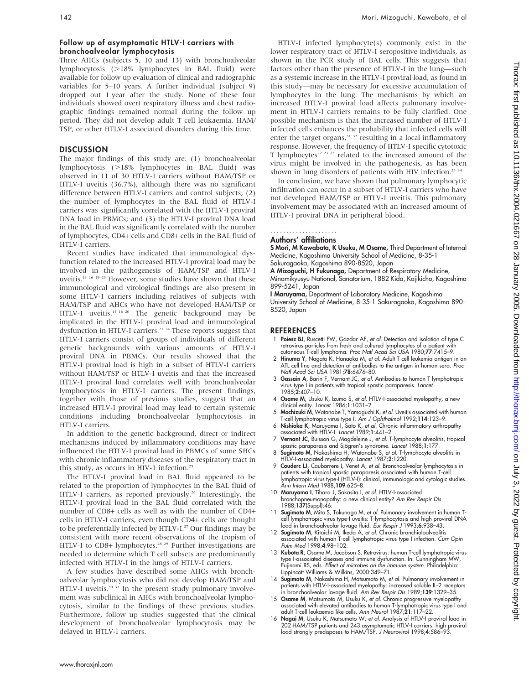#### Follow up of asymptomatic HTLV-I carriers with bronchoalveolar lymphocytosis

Three AHCs (subjects 5, 10 and 13) with bronchoalveolar lymphocytosis (>18% lymphocytes in BAL fluid) were available for follow up evaluation of clinical and radiographic variables for 5–10 years. A further individual (subject 9) dropped out 1 year after the study. None of these four individuals showed overt respiratory illness and chest radiographic findings remained normal during the follow up period. They did not develop adult T cell leukaemia, HAM/ TSP, or other HTLV-I associated disorders during this time.

#### **DISCUSSION**

The major findings of this study are: (1) bronchoalveolar lymphocytosis  $(>18\%$  lymphocytes in BAL fluid) was observed in 11 of 30 HTLV-I carriers without HAM/TSP or HTLV-I uveitis (36.7%), although there was no significant difference between HTLV-I carriers and control subjects; (2) the number of lymphocytes in the BAL fluid of HTLV-I carriers was significantly correlated with the HTLV-I proviral DNA load in PBMCs; and (3) the HTLV-I proviral DNA load in the BAL fluid was significantly correlated with the number of lymphocytes, CD4+ cells and CD8+ cells in the BAL fluid of HTLV-I carriers.

Recent studies have indicated that immunological dysfunction related to the increased HTLV-I proviral load may be involved in the pathogenesis of HAM/TSP and HTLV-I uveitis.13 16 19–23 However, some studies have shown that these immunological and virological findings are also present in some HTLV-I carriers including relatives of subjects with HAM/TSP and AHCs who have not developed HAM/TSP or HTLV-I uveitis.<sup>13 16 20</sup> The genetic background may be implicated in the HTLV-I proviral load and immunological dysfunction in HTLV-I carriers.<sup>21, 24</sup> These reports suggest that HTLV-I carriers consist of groups of individuals of different genetic backgrounds with various amounts of HTLV-I proviral DNA in PBMCs. Our results showed that the HTLV-I proviral load is high in a subset of HTLV-I carriers without HAM/TSP or HTLV-I uveitis and that the increased HTLV-I proviral load correlates well with bronchoalveolar lymphocytosis in HTLV-I carriers. The present findings, together with those of previous studies, suggest that an increased HTLV-I proviral load may lead to certain systemic conditions including bronchoalveolar lymphocytosis in HTLV-I carriers.

In addition to the genetic background, direct or indirect mechanisms induced by inflammatory conditions may have influenced the HTLV-I proviral load in PBMCs of some SHCs with chronic inflammatory diseases of the respiratory tract in this study, as occurs in HIV-1 infection.<sup>25</sup>

The HTLV-I proviral load in BAL fluid appeared to be related to the proportion of lymphocytes in the BAL fluid of HTLV-I carriers, as reported previously.<sup>26</sup> Interestingly, the HTLV-I proviral load in the BAL fluid correlated with the number of CD8+ cells as well as with the number of CD4+ cells in HTLV-I carriers, even though CD4+ cells are thought to be preferentially infected by HTLV-I.<sup>27</sup> Our findings may be consistent with more recent observations of the tropism of HTLV-I to CD8+ lymphocytes.<sup>28 29</sup> Further investigations are needed to determine which T cell subsets are predominantly infected with HTLV-I in the lungs of HTLV-I carriers.

A few studies have described some AHCs with bronchoalveolar lymphocytosis who did not develop HAM/TSP and HTLV-I uveitis.<sup>30 31</sup> In the present study pulmonary involvement was subclinical in AHCs with bronchoalveolar lymphocytosis, similar to the findings of these previous studies. Furthermore, follow up studies suggested that the clinical development of bronchoalveolar lymphocytosis may be delayed in HTLV-l carriers.

HTLV-I infected lymphocyte(s) commonly exist in the lower respiratory tract of HTLV-I seropositive individuals, as shown in the PCR study of BAL cells. This suggests that factors other than the presence of HTLV-I in the lung—such as a systemic increase in the HTLV-I proviral load, as found in this study—may be necessary for excessive accumulation of lymphocytes in the lung. The mechanisms by which an increased HTLV-I proviral load affects pulmonary involvement in HTLV-I carriers remains to be fully clarified. One possible mechanism is that the increased number of HTLV-I infected cells enhances the probability that infected cells will enter the target organs,<sup>31 32</sup> resulting in a local inflammatory response. However, the frequency of HTLV-I specific cytotoxic T lymphocytes<sup>22 23 33</sup> related to the increased amount of the virus might be involved in the pathogenesis, as has been shown in lung disorders of patients with HIV infection.<sup>25 34</sup>

In conclusion, we have shown that pulmonary lymphocytic infiltration can occur in a subset of HTLV-I carriers who have not developed HAM/TSP or HTLV-I uveitis. This pulmonary involvement may be associated with an increased amount of HTLV-I proviral DNA in peripheral blood.

#### Authors' affiliations .....................

S Mori, M Kawabata, K Usuku, M Osame, Third Department of Internal Medicine, Kagoshima University School of Medicine, 8-35-1 Sakuragaoka, Kagoshima 890-8520, Japan

A Mizoguchi, H Fukunaga, Department of Respiratory Medicine, Minamikyusyu National, Sanatorium, 1882 Kida, Kajikicho, Kagoshima 899-5241, Japan

I Maruyama, Department of Laboratory Medicine, Kagoshima University School of Medicine, 8-35-1 Sakuragaoka, Kagoshima 890- 8520, Japan

#### REFERENCES

- 1 Poiesz BJ, Ruscetti FW, Gazdar AF, et al. Detection and isolation of type C retrovirus particles from fresh and cultured lymphocytes of a patient with<br>cutaneous T-cell lymphoma. Proc Natl Acad Sci USA 1980;**77**:7415–9.<br>2 **Hinuma Y**, Nagata K, Hanaoka M, et al. Adult T cell leukemia antigen in an
- ATL cell line and detection of antibodies to the antigen in human sera. *Proc*<br>Natl Acad Sci USA 1981;**78**:6476–80.
- 3 Gassain A, Barin F, Vernant JC, et al. Antibodies to human T lymphotropic virus type I in patients with tropical spastic paraparesis. Lancet 1985;2:407–10.
- 4 Osame M, Usuku K, Izumo S, et al. HTLV-I-associated myelopathy, a new clinical entity. Lancet 1986;1:1031-2.
- 5 Mochizuki M, Watanabe T, Yamaguchi K, et al. Uveitis associated with human T-cell lymphotropic virus type I. Am J Ophthalmol 1992;114:123-9.
- 6 Nishioka K, Maruyama I, Sato K, et al. Chronic inflammatory arthropathy associated with HTLV-I. Lancet 1989;1:441–2.
- 7 **Vernant JC**, Buisson G, Magdeleine J, et al. T-lymphocyte alveolitis, tropical<br>spastic paraparesis and Sjögren's syndrome. Lancet 1988;1:177.
- 8 Sugimoto M, Nakashima H, Watanabe S, et al. T-lymphocyte alveolitis in HTLV-I-associated myelopathy. Lancet 1987;2:1220.
- 9 Couderc LJ, Caubarrere I, Venet A, et al. Bronchoalveolar lymphocytosis in patients with tropical spastic paraparesis associated with human T-cell lymphotropic virus type-I (HTLV-I): clinical, immunologic and cytologic studies. Ann Intern Med 1988;109:625–8.
- 10 Maruyama I, Tihara J, Sakasita I, et al. HTLV-I-associated bronchopneumonopathy: a new clinical entity? Am Rev Respir Dis 1988;137(Suppl):46.
- 11 Sugimoto M, Mita S, Tokunaga M, et al. Pulmonary involvement in human Tcell lymphotropic virus type-I uveitis: T-lymphocytosis and high proviral DNA load in bronchoalveolar lavage fluid. *Eur Respir J* 1993;6:938–43.<br>12 Sugimoto M, Kitaichi M, Ikeda A, *et al*. Chronic bronchioloalveolitis
- associated with human T-cell lymphotropic virus type I infection. Curr Opin Pulm Med 1998;4:98–102.
- 13 Kubota R, Osame M, Jacobson S. Retrovirus: human T-cell lymphotropic virus type I-associated diseases and immune dysfunction. In: Cunningham MW, Fujinami RS, eds. Effect of microbes on the immune system. Philadelphia: Lippincott Williams & Wilkins, 2000:349–71.
- 14 Sugimoto M, Nakashima H, Matsumoto M, et al. Pulmonary involvement in patients with HTLV-I-associated myelopathy: increased soluble IL-2 receptors in bronchoalveolar lavage fluid. Am Rev Respir Dis 1989;139:1329–35.
- 15 **Osame M**, Matsumoto M, Usuku K, et al. Chronic progressive myelopathy associated with elevated antibodies to human T-lymphotropic virus type I and adult T-cell leukaemia like cells. Ann Neurol 1987;21:117–22.
- 16 Nagai M, Usuku K, Matsumoto W, et al. Analysis of HTLV-I proviral load in 202 HAM/TSP patients and 243 asymptomatic HTLV-I carriers: high proviral load strongly predisposes to HAM/TSP. J Neurovirol 1998;4:586–93.